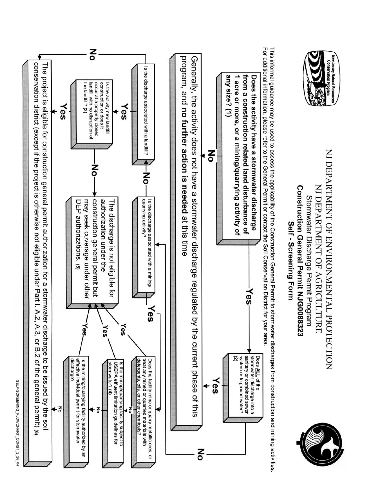

SELF-SCREENING\_FLOWCHART\_CONST\_2\_26\_04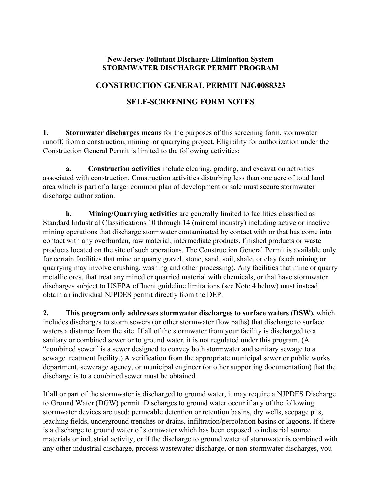## **New Jersey Pollutant Discharge Elimination System STORMWATER DISCHARGE PERMIT PROGRAM**

## **CONSTRUCTION GENERAL PERMIT NJG0088323**

## **SELF-SCREENING FORM NOTES**

**1. Stormwater discharges means** for the purposes of this screening form, stormwater runoff, from a construction, mining, or quarrying project. Eligibility for authorization under the Construction General Permit is limited to the following activities:

 **a. Construction activities** include clearing, grading, and excavation activities associated with construction. Construction activities disturbing less than one acre of total land area which is part of a larger common plan of development or sale must secure stormwater discharge authorization.

 **b. Mining/Quarrying activities** are generally limited to facilities classified as Standard Industrial Classifications 10 through 14 (mineral industry) including active or inactive mining operations that discharge stormwater contaminated by contact with or that has come into contact with any overburden, raw material, intermediate products, finished products or waste products located on the site of such operations. The Construction General Permit is available only for certain facilities that mine or quarry gravel, stone, sand, soil, shale, or clay (such mining or quarrying may involve crushing, washing and other processing). Any facilities that mine or quarry metallic ores, that treat any mined or quarried material with chemicals, or that have stormwater discharges subject to USEPA effluent guideline limitations (see Note 4 below) must instead obtain an individual NJPDES permit directly from the DEP.

**2. This program only addresses stormwater discharges to surface waters (DSW),** which includes discharges to storm sewers (or other stormwater flow paths) that discharge to surface waters a distance from the site. If all of the stormwater from your facility is discharged to a sanitary or combined sewer or to ground water, it is not regulated under this program. (A "combined sewer" is a sewer designed to convey both stormwater and sanitary sewage to a sewage treatment facility.) A verification from the appropriate municipal sewer or public works department, sewerage agency, or municipal engineer (or other supporting documentation) that the discharge is to a combined sewer must be obtained.

If all or part of the stormwater is discharged to ground water, it may require a NJPDES Discharge to Ground Water (DGW) permit. Discharges to ground water occur if any of the following stormwater devices are used: permeable detention or retention basins, dry wells, seepage pits, leaching fields, underground trenches or drains, infiltration/percolation basins or lagoons. If there is a discharge to ground water of stormwater which has been exposed to industrial source materials or industrial activity, or if the discharge to ground water of stormwater is combined with any other industrial discharge, process wastewater discharge, or non-stormwater discharges, you